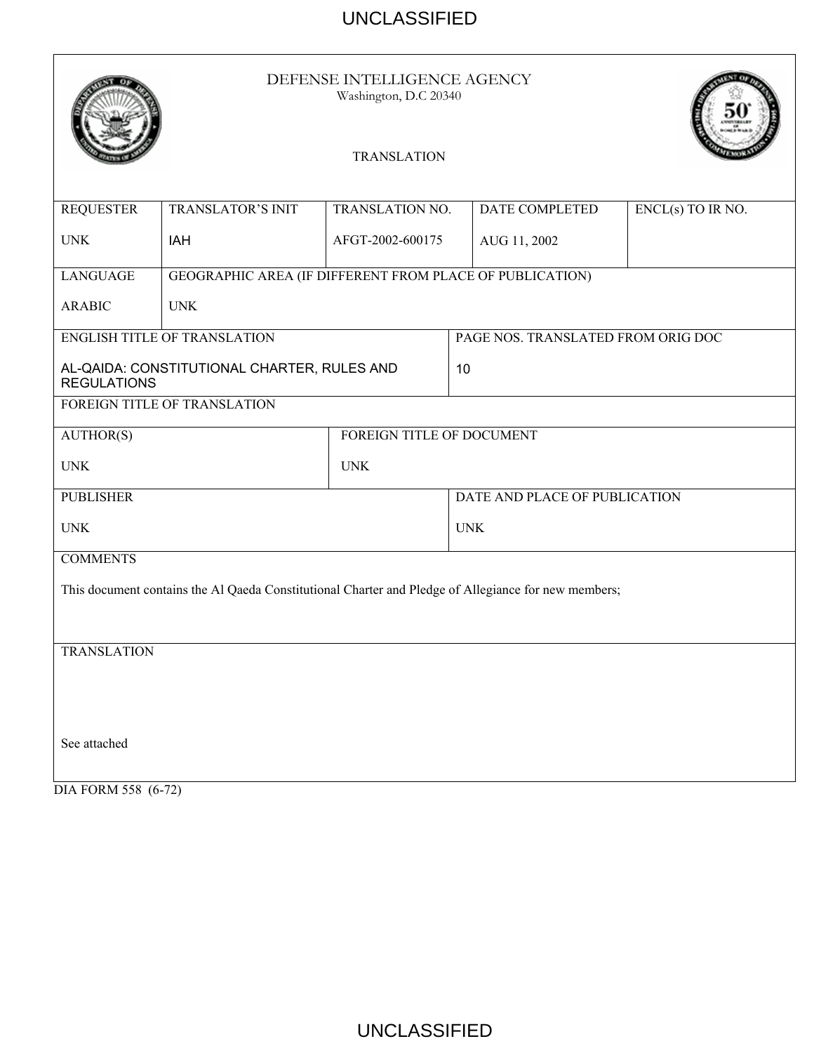|                                                                                                      | DEFENSE INTELLIGENCE AGENCY<br>Washington, D.C 20340     |                               |                                    |                |                   |  |
|------------------------------------------------------------------------------------------------------|----------------------------------------------------------|-------------------------------|------------------------------------|----------------|-------------------|--|
|                                                                                                      |                                                          | <b>TRANSLATION</b>            |                                    |                |                   |  |
| <b>REQUESTER</b>                                                                                     | <b>TRANSLATOR'S INIT</b>                                 | <b>TRANSLATION NO.</b>        |                                    | DATE COMPLETED | ENCL(s) TO IR NO. |  |
| <b>UNK</b>                                                                                           | IAH                                                      | AFGT-2002-600175              |                                    | AUG 11, 2002   |                   |  |
| <b>LANGUAGE</b>                                                                                      | GEOGRAPHIC AREA (IF DIFFERENT FROM PLACE OF PUBLICATION) |                               |                                    |                |                   |  |
| <b>ARABIC</b>                                                                                        | <b>UNK</b>                                               |                               |                                    |                |                   |  |
| <b>ENGLISH TITLE OF TRANSLATION</b>                                                                  |                                                          |                               | PAGE NOS. TRANSLATED FROM ORIG DOC |                |                   |  |
| AL-QAIDA: CONSTITUTIONAL CHARTER, RULES AND<br><b>REGULATIONS</b>                                    |                                                          |                               | 10                                 |                |                   |  |
| FOREIGN TITLE OF TRANSLATION                                                                         |                                                          |                               |                                    |                |                   |  |
| AUTHOR(S)                                                                                            | FOREIGN TITLE OF DOCUMENT                                |                               |                                    |                |                   |  |
| <b>UNK</b><br><b>UNK</b>                                                                             |                                                          |                               |                                    |                |                   |  |
| <b>PUBLISHER</b>                                                                                     |                                                          | DATE AND PLACE OF PUBLICATION |                                    |                |                   |  |
| <b>UNK</b>                                                                                           |                                                          |                               | <b>UNK</b>                         |                |                   |  |
| <b>COMMENTS</b>                                                                                      |                                                          |                               |                                    |                |                   |  |
| This document contains the Al Qaeda Constitutional Charter and Pledge of Allegiance for new members; |                                                          |                               |                                    |                |                   |  |
|                                                                                                      |                                                          |                               |                                    |                |                   |  |
| <b>TRANSLATION</b>                                                                                   |                                                          |                               |                                    |                |                   |  |
|                                                                                                      |                                                          |                               |                                    |                |                   |  |
|                                                                                                      |                                                          |                               |                                    |                |                   |  |
| See attached                                                                                         |                                                          |                               |                                    |                |                   |  |
| DIA FORM 558 (6-72)                                                                                  |                                                          |                               |                                    |                |                   |  |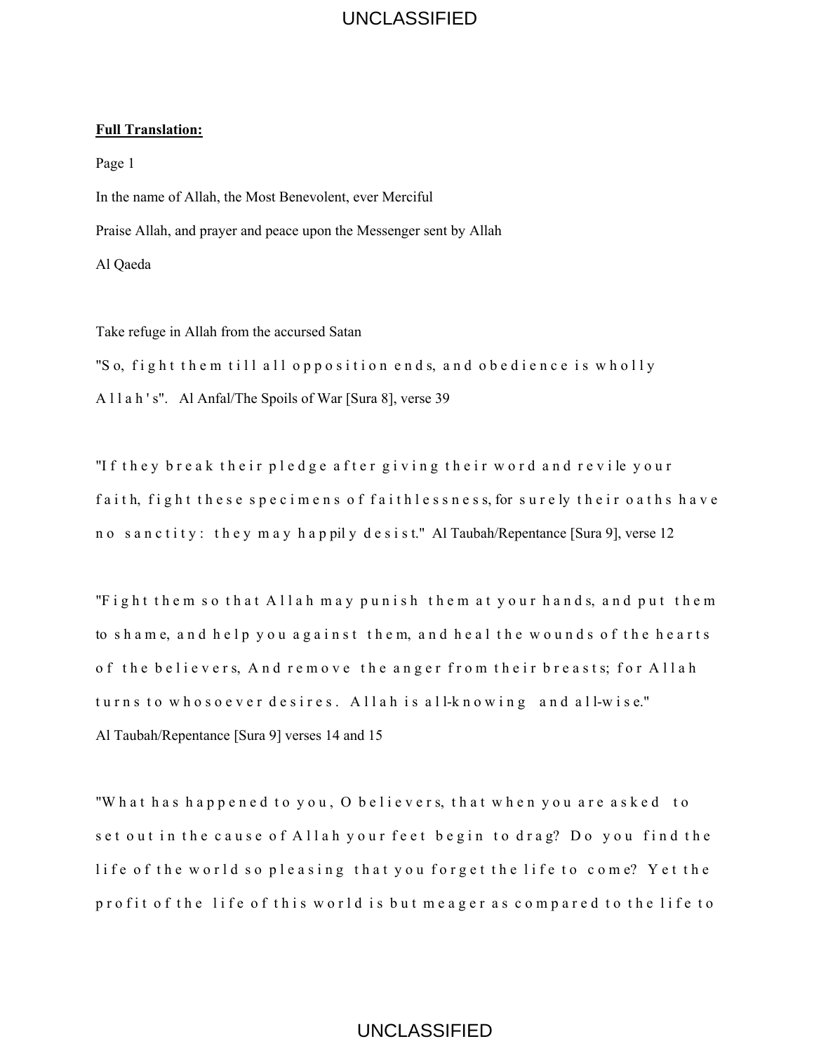#### **Full Translation:**

Page 1 In the name of Allah, the Most Benevolent, ever Merciful Praise Allah, and prayer and peace upon the Messenger sent by Allah Al Qaeda

Take refuge in Allah from the accursed Satan

"So, fight them till all opposition ends, and obedience is wholly A l l a h ' s". Al Anfal/The Spoils of War [Sura 8], verse 39

"If they break their pledge after giving their word and revile your faith, fight these specimens of faithlessness, for surely their oaths have n o s a n c t i t y : the y m a y h a p pil y d e s i s t." Al Taubah/Repentance [Sura 9], verse 12

"Fight them so that Allah may punish them at your hands, and put them to shame, and help you against them, and heal the wounds of the hearts of the believers, And remove the anger from their breasts; for Allah turns to whosoever desires. Allah is all-knowing and all-wise." Al Taubah/Repentance [Sura 9] verses 14 and 15 UNCLASSIFIED<br>t, ever Merciful<br>ne Messenger sent by Alla<br>ition ends, and ol<br>[Sura 8], verse 39<br>fter giving their<br>of faithlessness,<br>lydesist." Al Taubah<br>ypunish them at<br>st them, and heal<br>ethe anger from<br>Allah is all-know<br>and

"What has happened to you, O believers, that when you are asked to set out in the cause of Allah your feet begin to drag? Do you find the life of the world so pleasing that you forget the life to come? Yet the profit of the life of this world is but meager as compared to the life to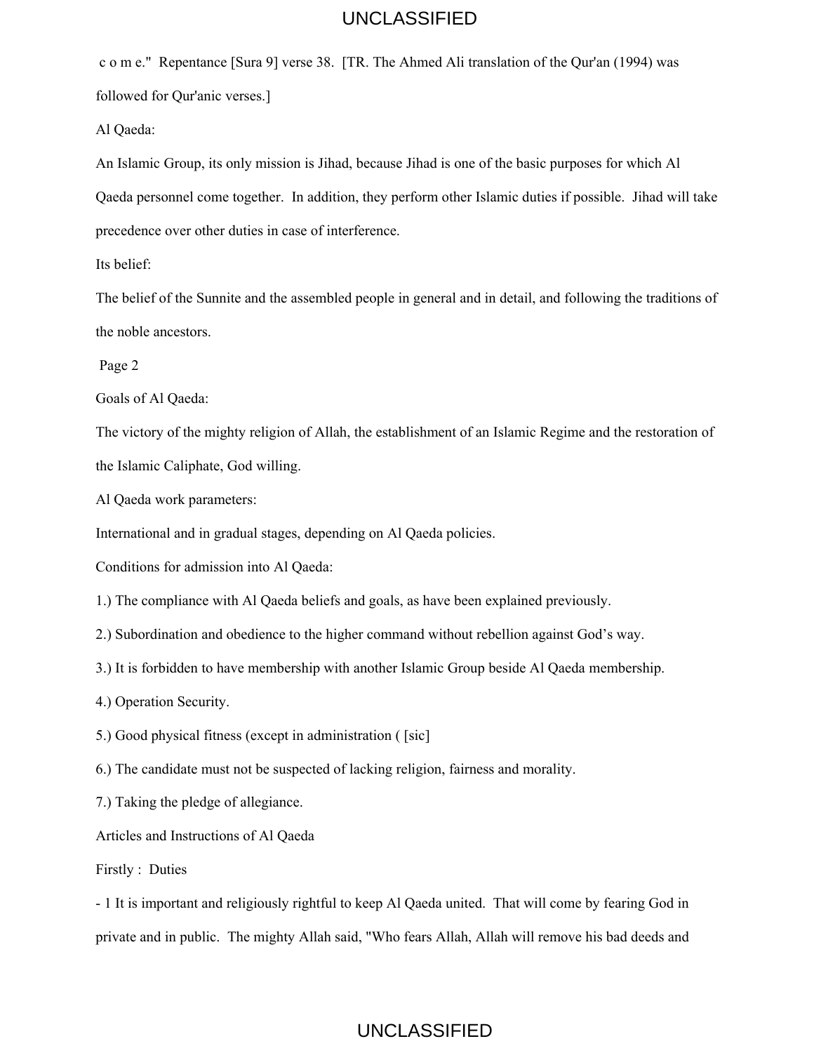c o m e." Repentance [Sura 9] verse 38. [TR. The Ahmed Ali translation of the Qur'an (1994) was followed for Qur'anic verses.]

Al Qaeda:

An Islamic Group, its only mission is Jihad, because Jihad is one of the basic purposes for which Al Qaeda personnel come together. In addition, they perform other Islamic duties if possible. Jihad will take precedence over other duties in case of interference. UNCLASSIFIED<br>TR. The Ahmed Ali tran:<br>d, because Jihad is one of<br>on, they perform other Isla<br>erference.<br>ed people in general and ir<br>ing on Al Qaeda policies<br>and goals, as have been e<br>ther command without ret<br>h another Islam

Its belief:

The belief of the Sunnite and the assembled people in general and in detail, and following the traditions of the noble ancestors.

Page 2

Goals of Al Qaeda:

The victory of the mighty religion of Allah, the establishment of an Islamic Regime and the restoration of the Islamic Caliphate, God willing.

Al Qaeda work parameters:

International and in gradual stages, depending on Al Qaeda policies.

Conditions for admission into Al Qaeda:

1.) The compliance with Al Qaeda beliefs and goals, as have been explained previously.

2.) Subordination and obedience to the higher command without rebellion against God's way.

3.) It is forbidden to have membership with another Islamic Group beside Al Qaeda membership.

4.) Operation Security.

5.) Good physical fitness (except in administration ( [sic]

6.) The candidate must not be suspected of lacking religion, fairness and morality.

7.) Taking the pledge of allegiance.

Articles and Instructions of Al Qaeda

Firstly : Duties

- 1 It is important and religiously rightful to keep Al Qaeda united. That will come by fearing God in private and in public. The mighty Allah said, "Who fears Allah, Allah will remove his bad deeds and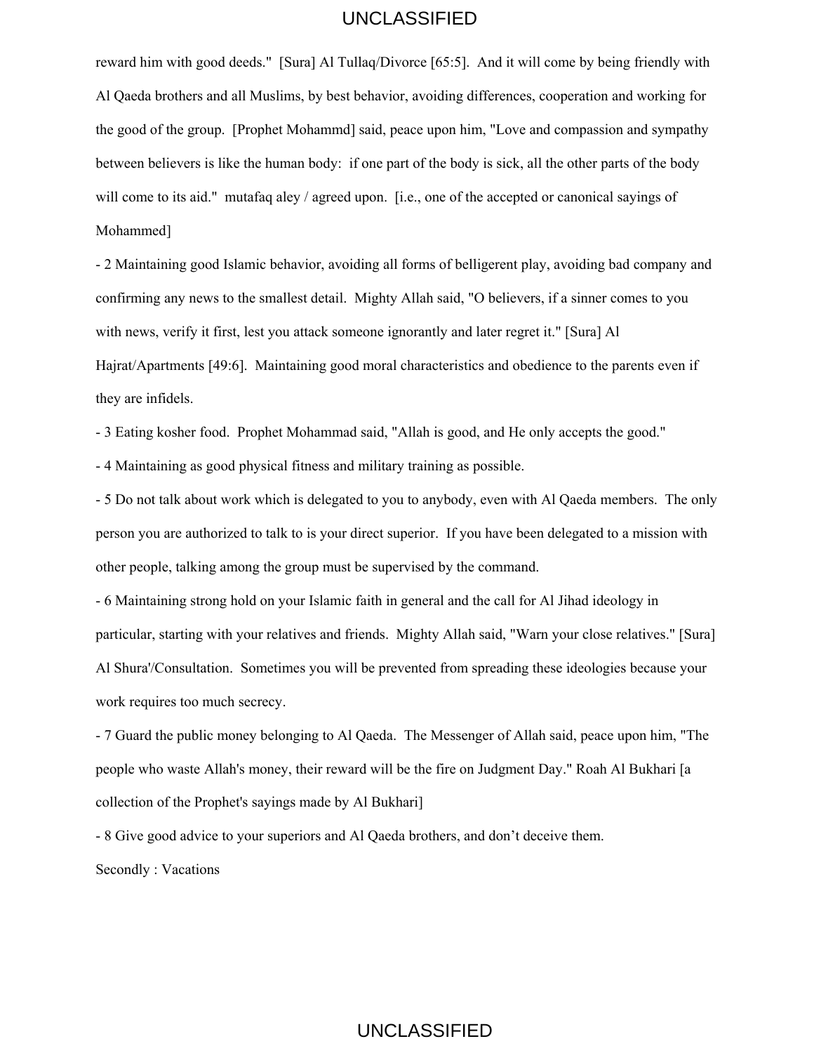reward him with good deeds." [Sura] Al Tullaq/Divorce [65:5]. And it will come by being friendly with Al Qaeda brothers and all Muslims, by best behavior, avoiding differences, cooperation and working for the good of the group. [Prophet Mohammd] said, peace upon him, "Love and compassion and sympathy between believers is like the human body: if one part of the body is sick, all the other parts of the body will come to its aid." mutafaq aley / agreed upon. [i.e., one of the accepted or canonical sayings of Mohammed] UNCLASSIFIED<br>
fullaq/Divorce [65:5]. Ar<br>
st behavior, avoiding diffe<br>
d] said, peace upon him,<br>
if one part of the body is<br>
d upon. [i.e., one of the a<br>
oiding all forms of bellige<br>
. Mighty Allah said, "O b<br>
meone ignoran

- 2 Maintaining good Islamic behavior, avoiding all forms of belligerent play, avoiding bad company and confirming any news to the smallest detail. Mighty Allah said, "O believers, if a sinner comes to you with news, verify it first, lest you attack someone ignorantly and later regret it." [Sura] Al Hajrat/Apartments [49:6]. Maintaining good moral characteristics and obedience to the parents even if they are infidels.

- 3 Eating kosher food. Prophet Mohammad said, "Allah is good, and He only accepts the good."

- 4 Maintaining as good physical fitness and military training as possible.

- 5 Do not talk about work which is delegated to you to anybody, even with Al Qaeda members. The only person you are authorized to talk to is your direct superior. If you have been delegated to a mission with other people, talking among the group must be supervised by the command.

- 6 Maintaining strong hold on your Islamic faith in general and the call for Al Jihad ideology in particular, starting with your relatives and friends. Mighty Allah said, "Warn your close relatives." [Sura] Al Shura'/Consultation. Sometimes you will be prevented from spreading these ideologies because your work requires too much secrecy.

- 7 Guard the public money belonging to Al Qaeda. The Messenger of Allah said, peace upon him, "The people who waste Allah's money, their reward will be the fire on Judgment Day." Roah Al Bukhari [a collection of the Prophet's sayings made by Al Bukhari]

- 8 Give good advice to your superiors and Al Qaeda brothers, and don't deceive them.

Secondly : Vacations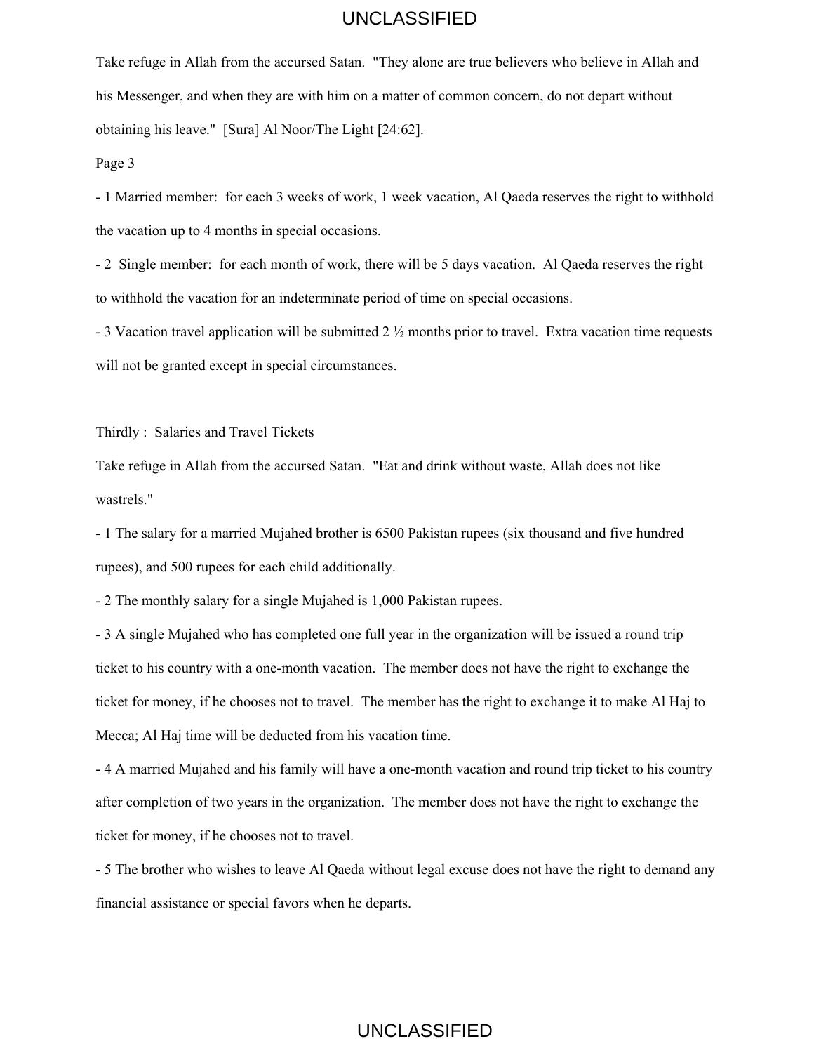Take refuge in Allah from the accursed Satan. "They alone are true believers who believe in Allah and his Messenger, and when they are with him on a matter of common concern, do not depart without obtaining his leave." [Sura] Al Noor/The Light [24:62].

Page 3

- 1 Married member: for each 3 weeks of work, 1 week vacation, Al Qaeda reserves the right to withhold the vacation up to 4 months in special occasions.

- 2 Single member: for each month of work, there will be 5 days vacation. Al Qaeda reserves the right to withhold the vacation for an indeterminate period of time on special occasions.

- 3 Vacation travel application will be submitted 2 ½ months prior to travel. Extra vacation time requests will not be granted except in special circumstances.

Thirdly : Salaries and Travel Tickets

Take refuge in Allah from the accursed Satan. "Eat and drink without waste, Allah does not like wastrels."

- 1 The salary for a married Mujahed brother is 6500 Pakistan rupees (six thousand and five hundred rupees), and 500 rupees for each child additionally.

- 2 The monthly salary for a single Mujahed is 1,000 Pakistan rupees.

- 3 A single Mujahed who has completed one full year in the organization will be issued a round trip ticket to his country with a one-month vacation. The member does not have the right to exchange the ticket for money, if he chooses not to travel. The member has the right to exchange it to make Al Haj to Mecca; Al Haj time will be deducted from his vacation time. UNCLASSIFIED<br>tan. "They alone are true<br>n on a matter of common<br>Light [24:62].<br>work, 1 week vacation, A<br>asions.<br>the, there will be 5 days va<br>ate period of time on spec<br>mitted 2 ½ months prior to<br>mstances.<br>tan. "Eat and drin

- 4 A married Mujahed and his family will have a one-month vacation and round trip ticket to his country after completion of two years in the organization. The member does not have the right to exchange the ticket for money, if he chooses not to travel.

- 5 The brother who wishes to leave Al Qaeda without legal excuse does not have the right to demand any financial assistance or special favors when he departs.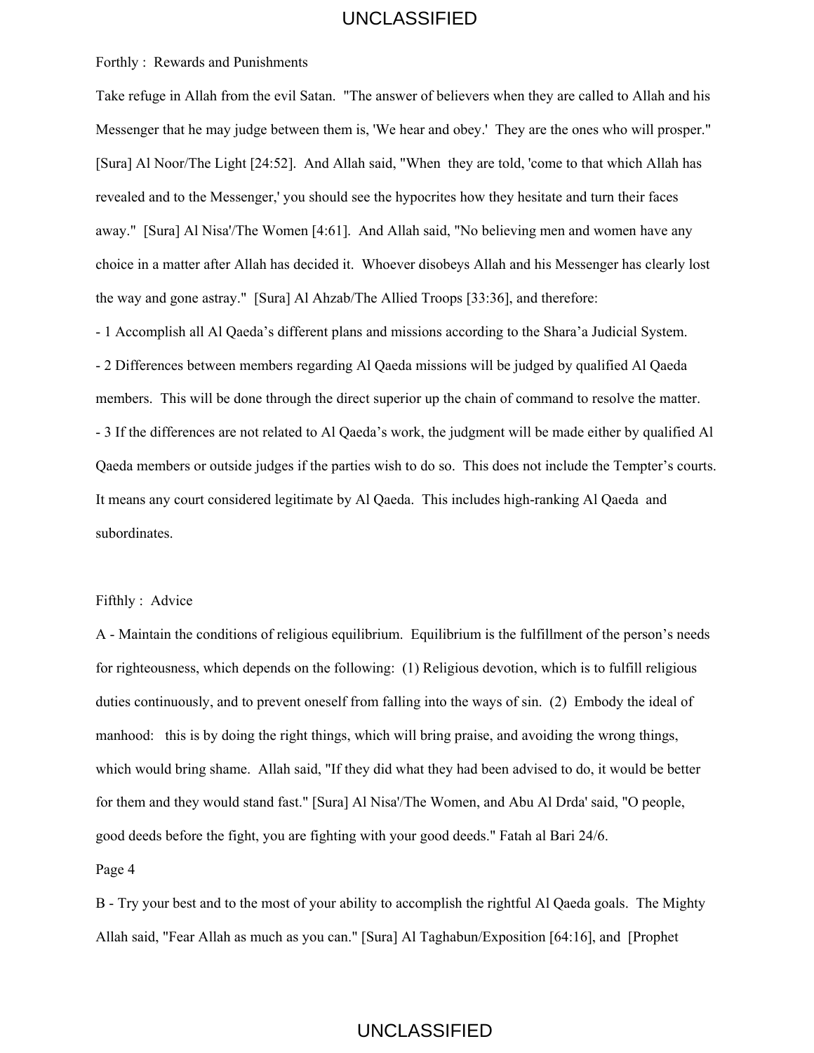#### Forthly : Rewards and Punishments

Take refuge in Allah from the evil Satan. "The answer of believers when they are called to Allah and his Messenger that he may judge between them is, 'We hear and obey.' They are the ones who will prosper." [Sura] Al Noor/The Light [24:52]. And Allah said, "When they are told, 'come to that which Allah has revealed and to the Messenger,' you should see the hypocrites how they hesitate and turn their faces away." [Sura] Al Nisa'/The Women [4:61]. And Allah said, "No believing men and women have any choice in a matter after Allah has decided it. Whoever disobeys Allah and his Messenger has clearly lost the way and gone astray." [Sura] Al Ahzab/The Allied Troops [33:36], and therefore:

- 1 Accomplish all Al Qaeda's different plans and missions according to the Shara'a Judicial System. - 2 Differences between members regarding Al Qaeda missions will be judged by qualified Al Qaeda members. This will be done through the direct superior up the chain of command to resolve the matter. - 3 If the differences are not related to Al Qaeda's work, the judgment will be made either by qualified Al Qaeda members or outside judges if the parties wish to do so. This does not include the Tempter's courts. It means any court considered legitimate by Al Qaeda. This includes high-ranking Al Qaeda and subordinates.

#### Fifthly : Advice

A - Maintain the conditions of religious equilibrium. Equilibrium is the fulfillment of the person's needs for righteousness, which depends on the following: (1) Religious devotion, which is to fulfill religious duties continuously, and to prevent oneself from falling into the ways of sin. (2) Embody the ideal of manhood: this is by doing the right things, which will bring praise, and avoiding the wrong things, which would bring shame. Allah said, "If they did what they had been advised to do, it would be better for them and they would stand fast." [Sura] Al Nisa'/The Women, and Abu Al Drda' said, "O people, good deeds before the fight, you are fighting with your good deeds." Fatah al Bari 24/6. UNCLASSIFIED<br>
"The answer of believers<br>
m is, 'We hear and obey.'<br>
Ilah said, "When they are<br>
d see the hypocrites how t<br>
1. And Allah said, "No be<br>
it. Whoever disobeys All<br>
b/The Allied Troops [33:2<br>
ans and missions acc

Page 4

B - Try your best and to the most of your ability to accomplish the rightful Al Qaeda goals. The Mighty Allah said, "Fear Allah as much as you can." [Sura] Al Taghabun/Exposition [64:16], and [Prophet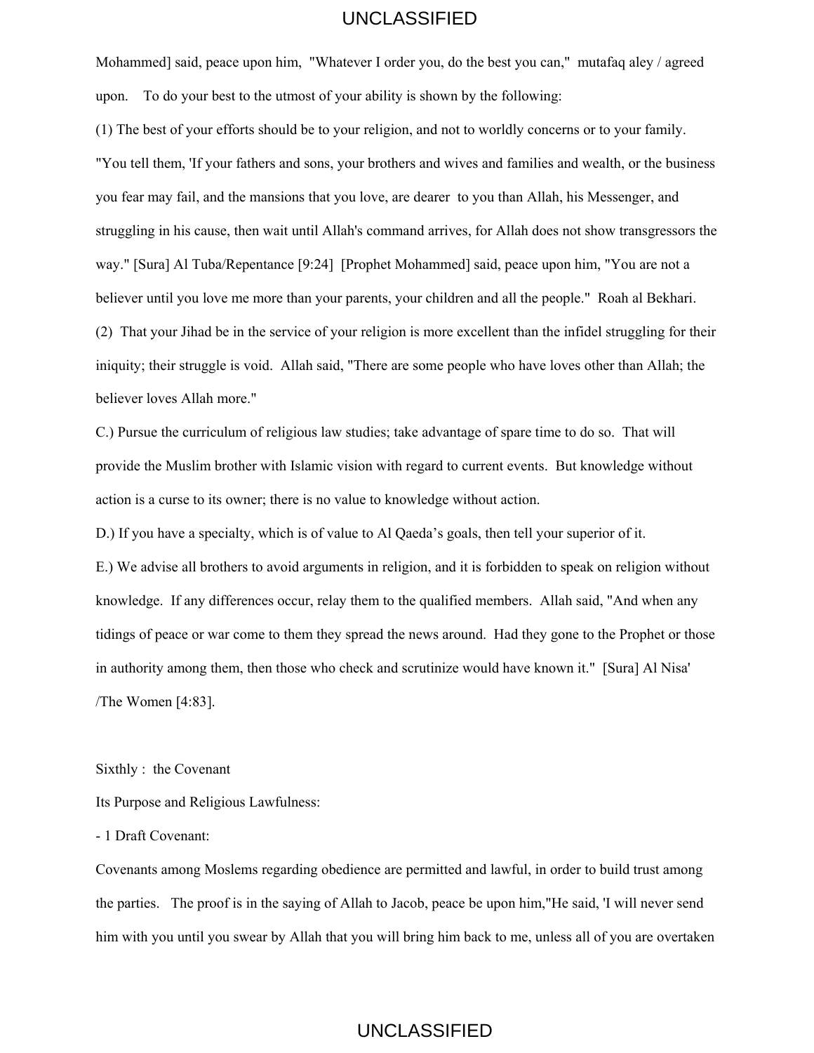Mohammed] said, peace upon him, "Whatever I order you, do the best you can," mutafaq aley / agreed upon. To do your best to the utmost of your ability is shown by the following:

(1) The best of your efforts should be to your religion, and not to worldly concerns or to your family. "You tell them, 'If your fathers and sons, your brothers and wives and families and wealth, or the business you fear may fail, and the mansions that you love, are dearer to you than Allah, his Messenger, and struggling in his cause, then wait until Allah's command arrives, for Allah does not show transgressors the way." [Sura] Al Tuba/Repentance [9:24] [Prophet Mohammed] said, peace upon him, "You are not a believer until you love me more than your parents, your children and all the people." Roah al Bekhari. (2) That your Jihad be in the service of your religion is more excellent than the infidel struggling for their iniquity; their struggle is void. Allah said, "There are some people who have loves other than Allah; the believer loves Allah more." UNCLASSIFIED<br>tever I order you, do the b<br>our ability is shown by the<br>our religion, and not to we<br>our brothers and wives ar<br>ou love, are dearer to you<br>ah's command arrives, for<br>prophet Mohammed] said<br>parents, your children

C.) Pursue the curriculum of religious law studies; take advantage of spare time to do so. That will provide the Muslim brother with Islamic vision with regard to current events. But knowledge without action is a curse to its owner; there is no value to knowledge without action.

D.) If you have a specialty, which is of value to Al Qaeda's goals, then tell your superior of it.

E.) We advise all brothers to avoid arguments in religion, and it is forbidden to speak on religion without knowledge. If any differences occur, relay them to the qualified members. Allah said, "And when any tidings of peace or war come to them they spread the news around. Had they gone to the Prophet or those in authority among them, then those who check and scrutinize would have known it." [Sura] Al Nisa' /The Women [4:83].

Sixthly : the Covenant

Its Purpose and Religious Lawfulness:

- 1 Draft Covenant:

Covenants among Moslems regarding obedience are permitted and lawful, in order to build trust among the parties. The proof is in the saying of Allah to Jacob, peace be upon him,"He said, 'I will never send him with you until you swear by Allah that you will bring him back to me, unless all of you are overtaken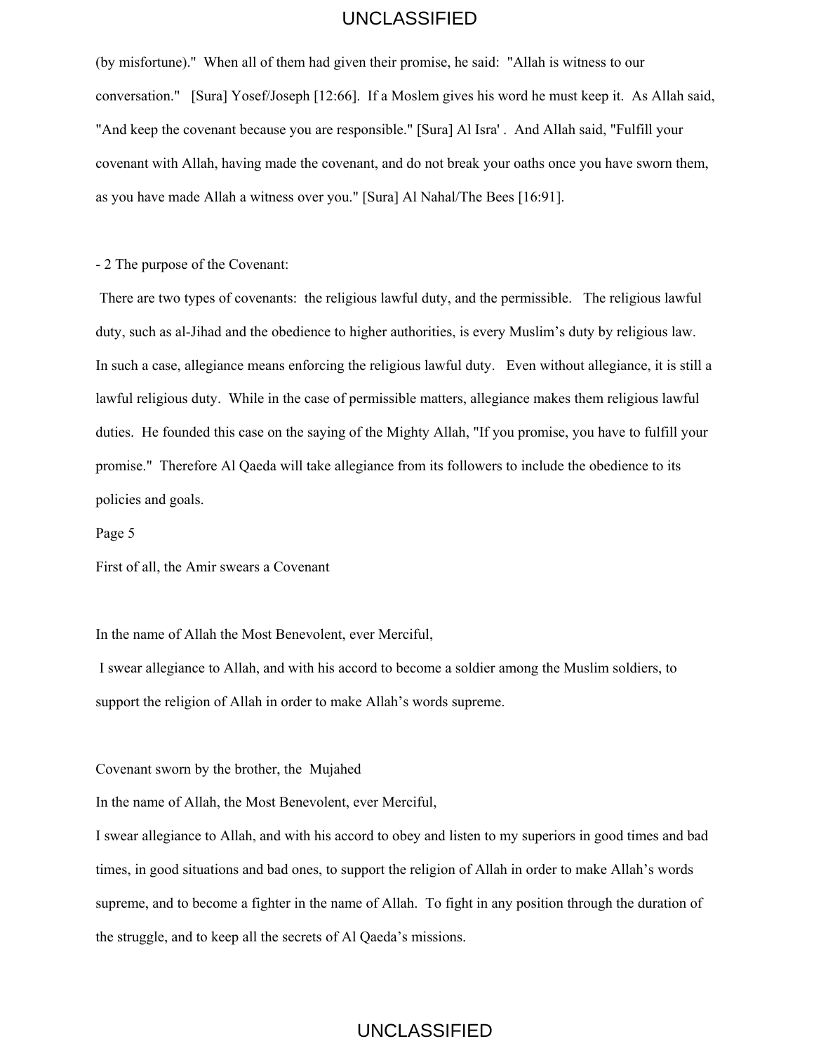(by misfortune).'' When all of them had given their promise, he said: "Allah is witness to our conversation." [Sura] Yosef/Joseph [12:66]. If a Moslem gives his word he must keep it. As Allah said, "And keep the covenant because you are responsible." [Sura] Al Isra' . And Allah said, "Fulfill your covenant with Allah, having made the covenant, and do not break your oaths once you have sworn them, as you have made Allah a witness over you." [Sura] Al Nahal/The Bees [16:91].

- 2 The purpose of the Covenant:

 There are two types of covenants: the religious lawful duty, and the permissible. The religious lawful duty, such as al-Jihad and the obedience to higher authorities, is every Muslim's duty by religious law. In such a case, allegiance means enforcing the religious lawful duty. Even without allegiance, it is still a lawful religious duty. While in the case of permissible matters, allegiance makes them religious lawful duties. He founded this case on the saying of the Mighty Allah, "If you promise, you have to fulfill your promise." Therefore Al Qaeda will take allegiance from its followers to include the obedience to its policies and goals. UNCLASSIFIED<br>iven their promise, he said<br>iof]. If a Moslem gives his<br>esponsible." [Sura] Al Isra<br>enant, and do not break you." [Sura] Al Nahal/The E<br>igious lawful duty, and the<br>bigher authorities, is eve<br>the religious lawf

Page 5

First of all, the Amir swears a Covenant

In the name of Allah the Most Benevolent, ever Merciful,

 I swear allegiance to Allah, and with his accord to become a soldier among the Muslim soldiers, to support the religion of Allah in order to make Allah's words supreme.

Covenant sworn by the brother, the Mujahed

In the name of Allah, the Most Benevolent, ever Merciful,

I swear allegiance to Allah, and with his accord to obey and listen to my superiors in good times and bad times, in good situations and bad ones, to support the religion of Allah in order to make Allah's words supreme, and to become a fighter in the name of Allah. To fight in any position through the duration of the struggle, and to keep all the secrets of Al Qaeda's missions.